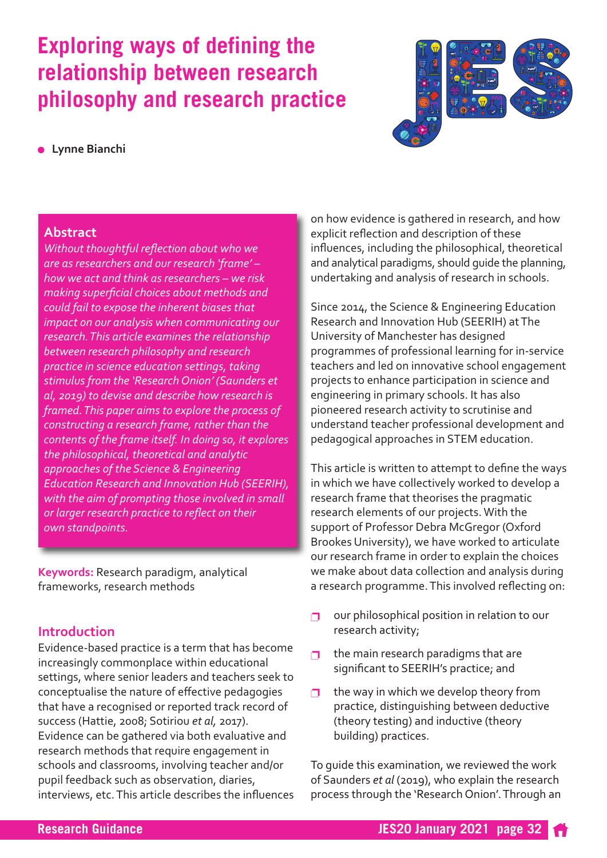# **Exploring ways of defining the relationship between research philosophy and research practice**

#### <sup>l</sup> **Lynne Bianchi**



#### **Abstract**

*Without thoughtful reflection about who we are as researchers and our research 'frame' – how we act and think as researchers – we risk making superficial choices about methods and could fail to expose the inherent biases that impact on our analysis when communicating our research.This article examines the relationship between research philosophy and research practice in science education settings, taking stimulus from the 'ResearchOnion' (Saunders et al, 2019) to devise and describe how research is framed.This paper aims to explore the process of constructing a research frame, rather than the contents of the frame itself. In doing so, it explores the philosophical, theoretical and analytic approaches of the Science & Engineering Education Research and Innovation Hub (SEERIH), with the aim of prompting those involved in small or larger research practice to reflect on their own standpoints.*

**Keywords:** Research paradigm, analytical frameworks, research methods

#### **Introduction**

Evidence-based practice is a term that has become increasingly commonplace within educational settings, where senior leaders and teachers seek to conceptualise the nature of effective pedagogies that have a recognised or reported track record of success (Hattie, 2008; Sotiriou *et al,* 2017). Evidence can be gathered via both evaluative and research methods that require engagement in schools and classrooms, involving teacher and/or pupil feedback such as observation, diaries, interviews, etc.This article describes the influences

on how evidence is gathered in research, and how explicit reflection and description of these influences, including the philosophical, theoretical and analytical paradigms, should guide the planning, undertaking and analysis of research in schools.

Since 2014, the Science & Engineering Education Research and Innovation Hub (SEERIH) atThe University of Manchester has designed programmes of professional learning for in-service teachers and led on innovative school engagement projects to enhance participation in science and engineering in primary schools. It has also pioneered research activity to scrutinise and understand teacher professional development and pedagogical approaches in STEM education.

This article is written to attempt to define the ways in which we have collectively worked to develop a research frame that theorises the pragmatic research elements of our projects.With the support of Professor Debra McGregor (Oxford Brookes University), we have worked to articulate our research frame in order to explain the choices we make about data collection and analysis during a research programme.This involved reflecting on:

- $\Box$  our philosophical position in relation to our research activity;
- **p** the main research paradigms that are significant to SEERIH's practice; and
- **p** the way in which we develop theory from practice, distinguishing between deductive (theory testing) and inductive (theory building) practices.

To guide this examination, we reviewed the work of Saunders *et al* (2019), who explain the research process through the 'Research Onion'.Through an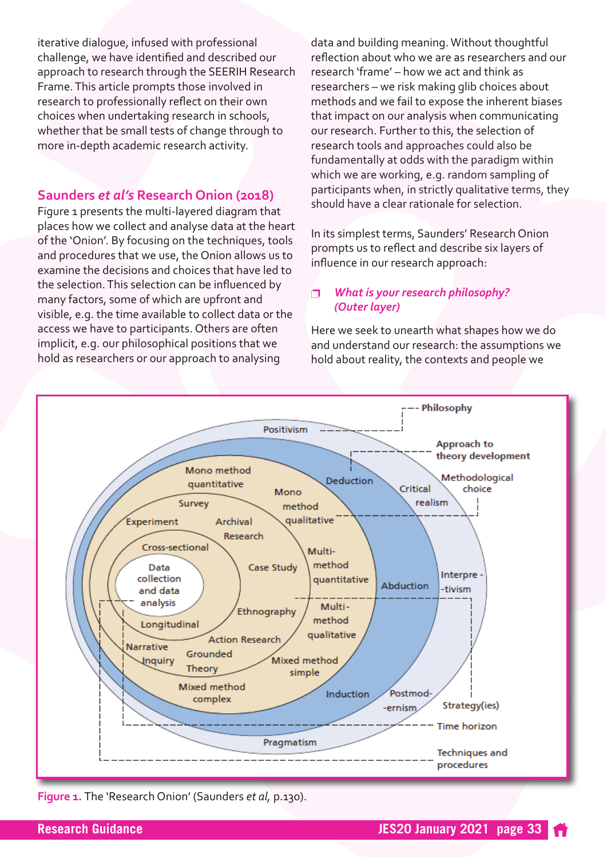iterative dialogue, infused with professional challenge, we have identified and described our approach to research through the SEERIH Research Frame.This article prompts those involved in research to professionally reflect on their own choices when undertaking research in schools, whether that be small tests of change through to more in-depth academic research activity.

## **Saunders** *et al's* **Research Onion (2018)**

Figure 1 presents the multi-layered diagram that places how we collect and analyse data at the heart of the 'Onion'. By focusing on the techniques, tools and procedures that we use, the Onion allows us to examine the decisions and choices that have led to the selection.This selection can be influenced by many factors, some of which are upfront and visible, e.g. the time available to collect data or the access we have to participants. Others are often implicit, e.g. our philosophical positions that we hold as researchers or our approach to analysing

data and building meaning.Without thoughtful reflection about who we are as researchers and our research 'frame' – how we act and think as researchers – we risk making glib choices about methods and we fail to expose the inherent biases that impact on our analysis when communicating our research. Further to this, the selection of research tools and approaches could also be fundamentally at odds with the paradigm within which we are working, e.g. random sampling of participants when, in strictly qualitative terms, they should have a clear rationale for selection.

In its simplest terms, Saunders' Research Onion prompts us to reflect and describe six layers of influence in our research approach:

#### p *What is your research philosophy? (Outer layer)*

Here we seek to unearth what shapes how we do and understand our research: the assumptions we hold about reality, the contexts and people we



**Figure 1.** The 'Research Onion' (Saunders *et al,* p.130).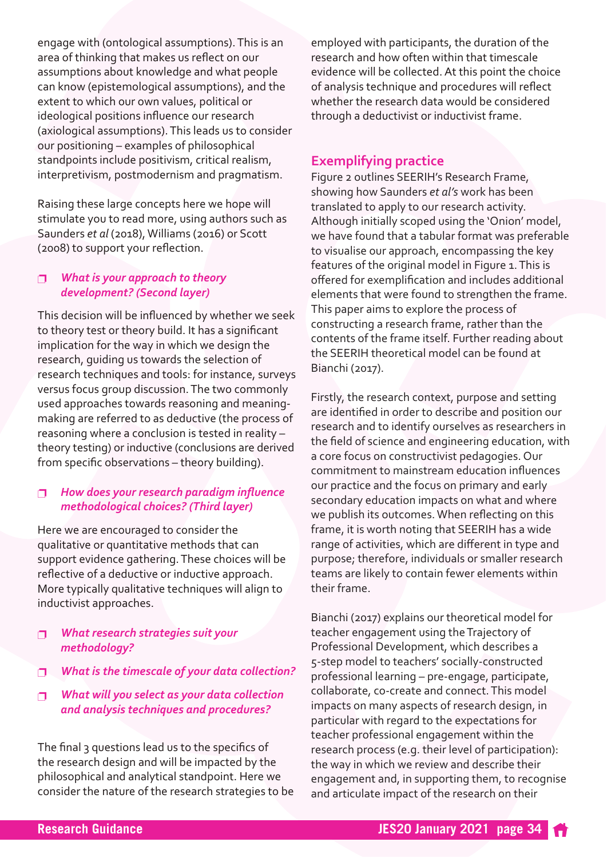engage with (ontological assumptions).This is an area of thinking that makes us reflect on our assumptions about knowledge and what people can know (epistemological assumptions), and the extent to which our own values, political or ideological positions influence our research (axiological assumptions).This leads us to consider our positioning – examples of philosophical standpoints include positivism, critical realism, interpretivism, postmodernism and pragmatism.

Raising these large concepts here we hope will stimulate you to read more, using authors such as Saunders *et al* (2018), Williams (2016) or Scott (2008) to support your reflection.

#### p *What is your approach to theory development? (Second layer)*

This decision will be influenced by whether we seek to theory test or theory build. It has a significant implication for the way in which we design the research, guiding us towards the selection of research techniques and tools: for instance, surveys versus focus group discussion.The two commonly used approaches towards reasoning and meaningmaking are referred to as deductive (the process of reasoning where a conclusion is tested in reality – theory testing) or inductive (conclusions are derived from specific observations – theory building).

#### p *How does your research paradigm influence methodological choices? (Third layer)*

Here we are encouraged to consider the qualitative or quantitative methods that can support evidence gathering.These choices will be reflective of a deductive or inductive approach. More typically qualitative techniques will align to inductivist approaches.

#### p *What research strategies suit your methodology?*

- p *What is the timescale of your data collection?*
- p *What will you select as your data collection and analysis techniques and procedures?*

The final 3 questions lead us to the specifics of the research design and will be impacted by the philosophical and analytical standpoint. Here we consider the nature of the research strategies to be employed with participants, the duration of the research and how often within that timescale evidence will be collected.At this point the choice of analysis technique and procedures will reflect whether the research data would be considered through a deductivist or inductivist frame.

## **Exemplifying practice**

Figure 2 outlines SEERIH's Research Frame, showing how Saunders *et al's* work has been translated to apply to our research activity. Although initially scoped using the 'Onion' model, we have found that a tabular format was preferable to visualise our approach, encompassing the key features of the original model in Figure 1. This is offered for exemplification and includes additional elements that were found to strengthen the frame. This paper aims to explore the process of constructing a research frame, rather than the contents of the frame itself. Further reading about the SEERIH theoretical model can be found at Bianchi (2017).

Firstly, the research context, purpose and setting are identified in order to describe and position our research and to identify ourselves as researchers in the field of science and engineering education, with a core focus on constructivist pedagogies. Our commitment to mainstream education influences our practice and the focus on primary and early secondary education impacts on what and where we publish its outcomes.When reflecting on this frame, it is worth noting that SEERIH has a wide range of activities, which are different in type and purpose; therefore, individuals or smaller research teams are likely to contain fewer elements within their frame.

Bianchi (2017) explains our theoretical model for teacher engagement using the Trajectory of Professional Development, which describes a 5-step model to teachers' socially-constructed professional learning – pre-engage, participate, collaborate, co-create and connect.This model impacts on many aspects of research design, in particular with regard to the expectations for teacher professional engagement within the research process (e.g. their level of participation): the way in which we review and describe their engagement and, in supporting them, to recognise and articulate impact of the research on their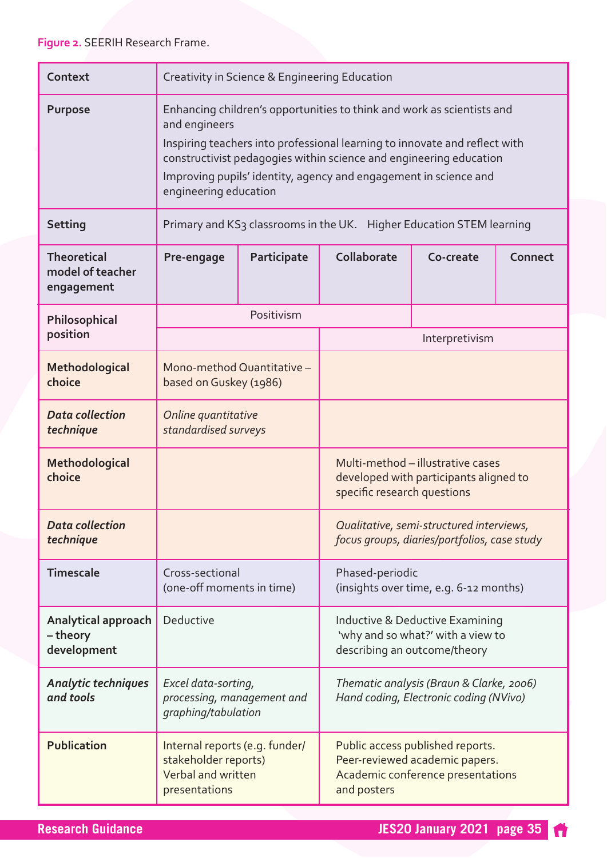| Context                                              | Creativity in Science & Engineering Education                                                                                                                                                                                                                                                                                            |             |                                                                                                                        |           |         |
|------------------------------------------------------|------------------------------------------------------------------------------------------------------------------------------------------------------------------------------------------------------------------------------------------------------------------------------------------------------------------------------------------|-------------|------------------------------------------------------------------------------------------------------------------------|-----------|---------|
| <b>Purpose</b>                                       | Enhancing children's opportunities to think and work as scientists and<br>and engineers<br>Inspiring teachers into professional learning to innovate and reflect with<br>constructivist pedagogies within science and engineering education<br>Improving pupils' identity, agency and engagement in science and<br>engineering education |             |                                                                                                                        |           |         |
| <b>Setting</b>                                       | Primary and KS3 classrooms in the UK. Higher Education STEM learning                                                                                                                                                                                                                                                                     |             |                                                                                                                        |           |         |
| <b>Theoretical</b><br>model of teacher<br>engagement | Pre-engage                                                                                                                                                                                                                                                                                                                               | Participate | Collaborate                                                                                                            | Co-create | Connect |
| Philosophical<br>position                            | Positivism                                                                                                                                                                                                                                                                                                                               |             |                                                                                                                        |           |         |
|                                                      |                                                                                                                                                                                                                                                                                                                                          |             | Interpretivism                                                                                                         |           |         |
| Methodological<br>choice                             | Mono-method Quantitative -<br>based on Guskey (1986)                                                                                                                                                                                                                                                                                     |             |                                                                                                                        |           |         |
| <b>Data collection</b><br>technique                  | Online quantitative<br>standardised surveys                                                                                                                                                                                                                                                                                              |             |                                                                                                                        |           |         |
| Methodological<br>choice                             |                                                                                                                                                                                                                                                                                                                                          |             | Multi-method - illustrative cases<br>developed with participants aligned to<br>specific research questions             |           |         |
| <b>Data collection</b><br>technique                  |                                                                                                                                                                                                                                                                                                                                          |             | Qualitative, semi-structured interviews,<br>focus groups, diaries/portfolios, case study                               |           |         |
| <b>Timescale</b>                                     | Cross-sectional<br>(one-off moments in time)                                                                                                                                                                                                                                                                                             |             | Phased-periodic<br>(insights over time, e.g. 6-12 months)                                                              |           |         |
| <b>Analytical approach</b><br>-theory<br>development | Deductive                                                                                                                                                                                                                                                                                                                                |             | Inductive & Deductive Examining<br>'why and so what?' with a view to<br>describing an outcome/theory                   |           |         |
| <b>Analytic techniques</b><br>and tools              | Excel data-sorting,<br>processing, management and<br>graphing/tabulation                                                                                                                                                                                                                                                                 |             | Thematic analysis (Braun & Clarke, 2006)<br>Hand coding, Electronic coding (NVivo)                                     |           |         |
| <b>Publication</b>                                   | Internal reports (e.g. funder/<br>stakeholder reports)<br>Verbal and written<br>presentations                                                                                                                                                                                                                                            |             | Public access published reports.<br>Peer-reviewed academic papers.<br>Academic conference presentations<br>and posters |           |         |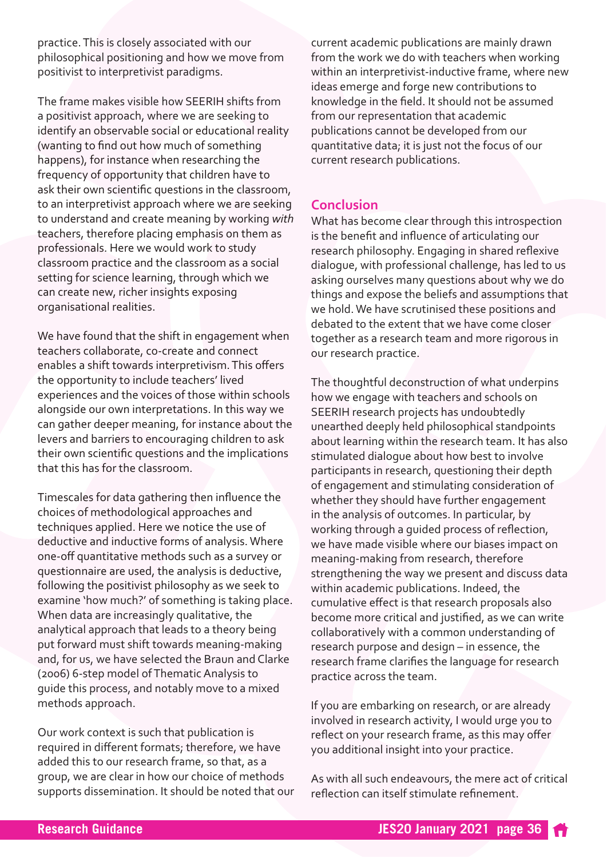practice.This is closely associated with our philosophical positioning and how we move from positivist to interpretivist paradigms.

The frame makes visible how SEERIH shifts from a positivist approach, where we are seeking to identify an observable social or educational reality (wanting to find out how much of something happens), for instance when researching the frequency of opportunity that children have to ask their own scientific questions in the classroom, to an interpretivist approach where we are seeking to understand and create meaning by working *with* teachers, therefore placing emphasis on them as professionals. Here we would work to study classroom practice and the classroom as a social setting for science learning, through which we can create new, richer insights exposing organisational realities.

We have found that the shift in engagement when teachers collaborate, co-create and connect enables a shift towards interpretivism.This offers the opportunity to include teachers' lived experiences and the voices of those within schools alongside our own interpretations. In this way we can gather deeper meaning, for instance about the levers and barriers to encouraging children to ask their own scientific questions and the implications that this has for the classroom.

Timescales for data gathering then influence the choices of methodological approaches and techniques applied. Here we notice the use of deductive and inductive forms of analysis.Where one-off quantitative methods such as a survey or questionnaire are used, the analysis is deductive, following the positivist philosophy as we seek to examine 'how much?' of something is taking place. When data are increasingly qualitative, the analytical approach that leads to a theory being put forward must shift towards meaning-making and, for us, we have selected the Braun and Clarke (2006) 6-step model ofThematicAnalysis to guide this process, and notably move to a mixed methods approach.

Our work context is such that publication is required in different formats; therefore, we have added this to our research frame, so that, as a group, we are clear in how our choice of methods supports dissemination. It should be noted that our current academic publications are mainly drawn from the work we do with teachers when working within an interpretivist-inductive frame, where new ideas emerge and forge new contributions to knowledge in the field. It should not be assumed from our representation that academic publications cannot be developed from our quantitative data; it is just not the focus of our current research publications.

## **Conclusion**

What has become clear through this introspection is the benefit and influence of articulating our research philosophy. Engaging in shared reflexive dialogue, with professional challenge, has led to us asking ourselves many questions about why we do things and expose the beliefs and assumptions that we hold.We have scrutinised these positions and debated to the extent that we have come closer together as a research team and more rigorous in our research practice.

The thoughtful deconstruction of what underpins how we engage with teachers and schools on SEERIH research projects has undoubtedly unearthed deeply held philosophical standpoints about learning within the research team. It has also stimulated dialogue about how best to involve participants in research, questioning their depth of engagement and stimulating consideration of whether they should have further engagement in the analysis of outcomes. In particular, by working through a guided process of reflection, we have made visible where our biases impact on meaning-making from research, therefore strengthening the way we present and discuss data within academic publications. Indeed, the cumulative effect is that research proposals also become more critical and justified, as we can write collaboratively with a common understanding of research purpose and design – in essence, the research frame clarifies the language for research practice across the team.

If you are embarking on research, or are already involved in research activity, I would urge you to reflect on your research frame, as this may offer you additional insight into your practice.

As with all such endeavours, the mere act of critical reflection can itself stimulate refinement.